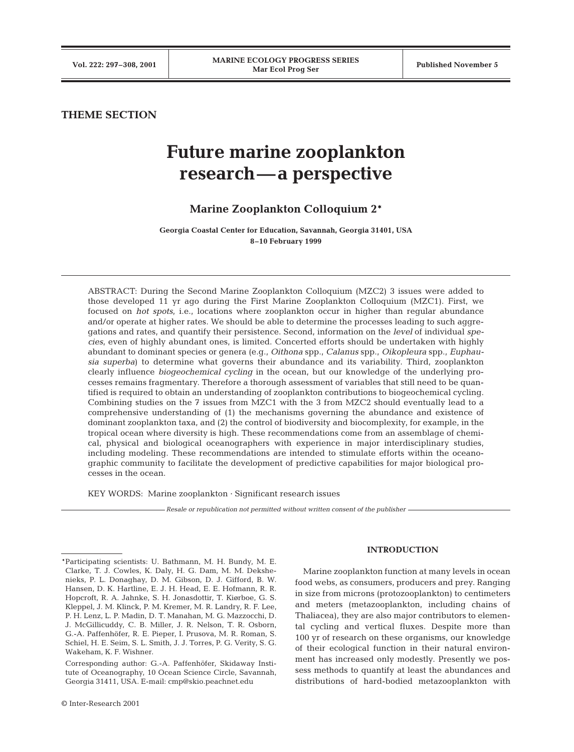# **THEME SECTION**

# **Future marine zooplankton research—a perspective**

# **Marine Zooplankton Colloquium 2\***

**Georgia Coastal Center for Education, Savannah, Georgia 31401, USA 8–10 February 1999**

ABSTRACT: During the Second Marine Zooplankton Colloquium (MZC2) 3 issues were added to those developed 11 yr ago during the First Marine Zooplankton Colloquium (MZC1). First, we focused on *hot spots*, i.e., locations where zooplankton occur in higher than regular abundance and/or operate at higher rates. We should be able to determine the processes leading to such aggregations and rates, and quantify their persistence. Second, information on the *level* of individual *species*, even of highly abundant ones, is limited. Concerted efforts should be undertaken with highly abundant to dominant species or genera (e.g., *Oithona* spp., *Calanus* spp., *Oikopleura* spp., *Euphausia superba*) to determine what governs their abundance and its variability. Third, zooplankton clearly influence *biogeochemical cycling* in the ocean, but our knowledge of the underlying processes remains fragmentary. Therefore a thorough assessment of variables that still need to be quantified is required to obtain an understanding of zooplankton contributions to biogeochemical cycling. Combining studies on the 7 issues from MZC1 with the 3 from MZC2 should eventually lead to a comprehensive understanding of (1) the mechanisms governing the abundance and existence of dominant zooplankton taxa, and (2) the control of biodiversity and biocomplexity, for example, in the tropical ocean where diversity is high. These recommendations come from an assemblage of chemical, physical and biological oceanographers with experience in major interdisciplinary studies, including modeling. These recommendations are intended to stimulate efforts within the oceanographic community to facilitate the development of predictive capabilities for major biological processes in the ocean.

KEY WORDS: Marine zooplankton · Significant research issues

*Resale or republication not permitted without written consent of the publisher*

# **INTRODUCTION**

Marine zooplankton function at many levels in ocean food webs, as consumers, producers and prey. Ranging in size from microns (protozooplankton) to centimeters and meters (metazooplankton, including chains of Thaliacea), they are also major contributors to elemental cycling and vertical fluxes. Despite more than 100 yr of research on these organisms, our knowledge of their ecological function in their natural environment has increased only modestly. Presently we possess methods to quantify at least the abundances and distributions of hard-bodied metazooplankton with

<sup>\*</sup>Participating scientists: U. Bathmann, M. H. Bundy, M. E. Clarke, T. J. Cowles, K. Daly, H. G. Dam, M. M. Dekshenieks, P. L. Donaghay, D. M. Gibson, D. J. Gifford, B. W. Hansen, D. K. Hartline, E. J. H. Head, E. E. Hofmann, R. R. Hopcroft, R. A. Jahnke, S. H. Jonasdottir, T. Kiørboe, G. S. Kleppel, J. M. Klinck, P. M. Kremer, M. R. Landry, R. F. Lee, P. H. Lenz, L. P. Madin, D. T. Manahan, M. G. Mazzocchi, D. J. McGillicuddy, C. B. Miller, J. R. Nelson, T. R. Osborn, G.-A. Paffenhöfer, R. E. Pieper, I. Prusova, M. R. Roman, S. Schiel, H. E. Seim, S. L. Smith, J. J. Torres, P. G. Verity, S. G. Wakeham, K. F. Wishner.

<sup>\*</sup>Corresponding author: G.-A. Paffenhöfer, Skidaway Institute of Oceanography, 10 Ocean Science Circle, Savannah, Georgia 31411, USA. E-mail: cmp@skio.peachnet.edu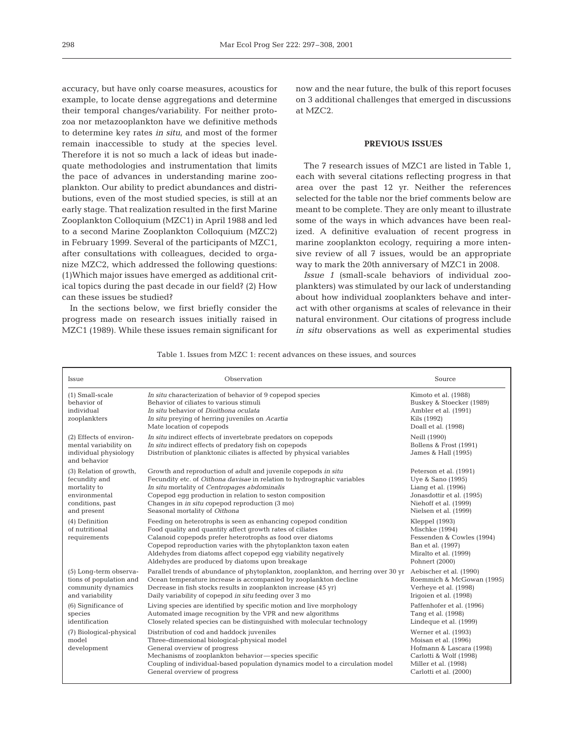accuracy, but have only coarse measures, acoustics for example, to locate dense aggregations and determine their temporal changes/variability. For neither protozoa nor metazooplankton have we definitive methods to determine key rates *in situ*, and most of the former remain inaccessible to study at the species level. Therefore it is not so much a lack of ideas but inadequate methodologies and instrumentation that limits the pace of advances in understanding marine zooplankton. Our ability to predict abundances and distributions, even of the most studied species, is still at an early stage. That realization resulted in the first Marine Zooplankton Colloquium (MZC1) in April 1988 and led to a second Marine Zooplankton Colloquium (MZC2) in February 1999. Several of the participants of MZC1, after consultations with colleagues, decided to organize MZC2, which addressed the following questions: (1)Which major issues have emerged as additional critical topics during the past decade in our field? (2) How can these issues be studied?

In the sections below, we first briefly consider the progress made on research issues initially raised in MZC1 (1989). While these issues remain significant for

now and the near future, the bulk of this report focuses on 3 additional challenges that emerged in discussions at MZC2.

# **PREVIOUS ISSUES**

The 7 research issues of MZC1 are listed in Table 1, each with several citations reflecting progress in that area over the past 12 yr. Neither the references selected for the table nor the brief comments below are meant to be complete. They are only meant to illustrate some of the ways in which advances have been realized. A definitive evaluation of recent progress in marine zooplankton ecology, requiring a more intensive review of all 7 issues, would be an appropriate way to mark the 20th anniversary of MZC1 in 2008.

*Issue 1* (small-scale behaviors of individual zooplankters) was stimulated by our lack of understanding about how individual zooplankters behave and interact with other organisms at scales of relevance in their natural environment. Our citations of progress include *in situ* observations as well as experimental studies

Table 1. Issues from MZC 1: recent advances on these issues, and sources

| Issue                                                                                                        | Observation                                                                                                                                                                                                                                                                                                                                                                      | Source                                                                                                                                               |
|--------------------------------------------------------------------------------------------------------------|----------------------------------------------------------------------------------------------------------------------------------------------------------------------------------------------------------------------------------------------------------------------------------------------------------------------------------------------------------------------------------|------------------------------------------------------------------------------------------------------------------------------------------------------|
| (1) Small-scale<br>behavior of<br>individual<br>zooplankters                                                 | In situ characterization of behavior of 9 copepod species<br>Behavior of ciliates to various stimuli<br>In situ behavior of Dioithona oculata<br>In situ preying of herring juveniles on Acartia<br>Mate location of copepods                                                                                                                                                    | Kimoto et al. (1988)<br>Buskey & Stoecker (1989)<br>Ambler et al. (1991)<br>Kils (1992)<br>Doall et al. (1998)                                       |
| (2) Effects of environ-<br>mental variability on<br>individual physiology<br>and behavior                    | In situ indirect effects of invertebrate predators on copepods<br>In situ indirect effects of predatory fish on copepods<br>Distribution of planktonic ciliates is affected by physical variables                                                                                                                                                                                | Neill (1990)<br>Bollens & Frost (1991)<br>James & Hall (1995)                                                                                        |
| (3) Relation of growth,<br>fecundity and<br>mortality to<br>environmental<br>conditions, past<br>and present | Growth and reproduction of adult and juvenile copepods in situ<br>Fecundity etc. of Oithona davisae in relation to hydrographic variables<br>In situ mortality of Centropages abdominalis<br>Copepod eqq production in relation to seston composition<br>Changes in in situ copepod reproduction (3 mo)<br>Seasonal mortality of Oithona                                         | Peterson et al. (1991)<br>Uye & Sano (1995)<br>Liang et al. (1996)<br>Jonasdottir et al. (1995)<br>Niehoff et al. (1999)<br>Nielsen et al. (1999)    |
| (4) Definition<br>of nutritional<br>requirements                                                             | Feeding on heterotrophs is seen as enhancing copepod condition<br>Food quality and quantity affect growth rates of ciliates<br>Calanoid copepods prefer heterotrophs as food over diatoms<br>Copepod reproduction varies with the phytoplankton taxon eaten<br>Aldehydes from diatoms affect copepod eqq viability neqatively<br>Aldehydes are produced by diatoms upon breakage | Kleppel (1993)<br>Mischke (1994)<br>Fessenden & Cowles (1994)<br>Ban et al. (1997)<br>Miralto et al. (1999)<br>Pohnert (2000)                        |
| (5) Long-term observa-<br>tions of population and<br>community dynamics<br>and variability                   | Parallel trends of abundance of phytoplankton, zooplankton, and herring over 30 yr Aebischer et al. (1990)<br>Ocean temperature increase is accompanied by zooplankton decline<br>Decrease in fish stocks results in zooplankton increase (45 yr)<br>Daily variability of copepod in situ feeding over 3 mo                                                                      | Roemmich & McGowan (1995)<br>Verheye et al. (1998)<br>Iriqoien et al. (1998)                                                                         |
| (6) Significance of<br>species<br>identification                                                             | Living species are identified by specific motion and live morphology<br>Automated image recognition by the VPR and new algorithms<br>Closely related species can be distinguished with molecular technology                                                                                                                                                                      | Paffenhofer et al. (1996)<br>Tang et al. (1998)<br>Lindeque et al. (1999)                                                                            |
| (7) Biological-physical<br>model<br>development                                                              | Distribution of cod and haddock juveniles<br>Three-dimensional biological-physical model<br>General overview of progress<br>Mechanisms of zooplankton behavior-species specific<br>Coupling of individual-based population dynamics model to a circulation model<br>General overview of progress                                                                                 | Werner et al. (1993)<br>Moisan et al. (1996)<br>Hofmann & Lascara (1998)<br>Carlotti & Wolf (1998)<br>Miller et al. (1998)<br>Carlotti et al. (2000) |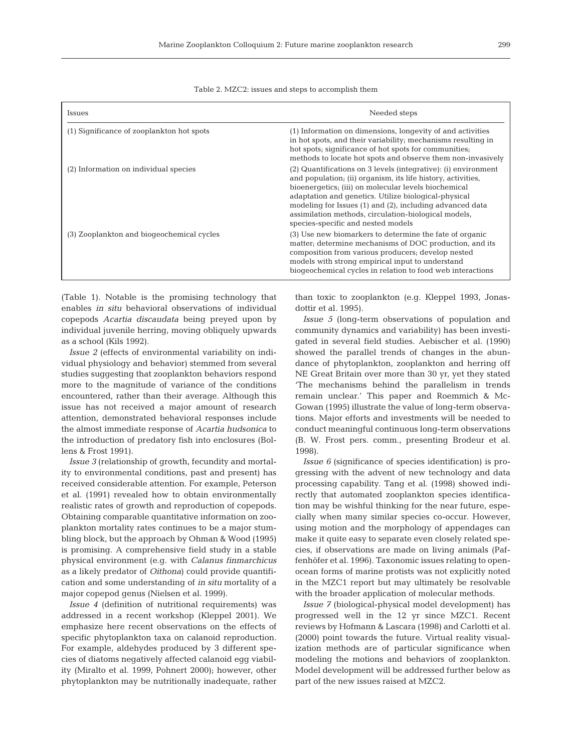| Issues                                    | Needed steps                                                                                                                                                                                                                                                                                                                                                                                             |  |
|-------------------------------------------|----------------------------------------------------------------------------------------------------------------------------------------------------------------------------------------------------------------------------------------------------------------------------------------------------------------------------------------------------------------------------------------------------------|--|
| (1) Significance of zooplankton hot spots | (1) Information on dimensions, longevity of and activities<br>in hot spots, and their variability; mechanisms resulting in<br>hot spots; significance of hot spots for communities;<br>methods to locate hot spots and observe them non-invasively                                                                                                                                                       |  |
| (2) Information on individual species     | (2) Quantifications on 3 levels (integrative): (i) environment<br>and population; (ii) organism, its life history, activities,<br>bioenergetics; (iii) on molecular levels biochemical<br>adaptation and genetics. Utilize biological-physical<br>modeling for Issues (1) and (2), including advanced data<br>assimilation methods, circulation-biological models,<br>species-specific and nested models |  |
| (3) Zooplankton and biogeochemical cycles | (3) Use new biomarkers to determine the fate of organic<br>matter; determine mechanisms of DOC production, and its<br>composition from various producers; develop nested<br>models with strong empirical input to understand<br>biogeochemical cycles in relation to food web interactions                                                                                                               |  |

(Table 1). Notable is the promising technology that enables *in situ* behavioral observations of individual copepods *Acartia discaudata* being preyed upon by individual juvenile herring, moving obliquely upwards as a school (Kils 1992).

*Issue 2* (effects of environmental variability on individual physiology and behavior) stemmed from several studies suggesting that zooplankton behaviors respond more to the magnitude of variance of the conditions encountered, rather than their average. Although this issue has not received a major amount of research attention, demonstrated behavioral responses include the almost immediate response of *Acartia hudsonica* to the introduction of predatory fish into enclosures (Bollens & Frost 1991).

*Issue 3* (relationship of growth, fecundity and mortality to environmental conditions, past and present) has received considerable attention. For example, Peterson et al. (1991) revealed how to obtain environmentally realistic rates of growth and reproduction of copepods. Obtaining comparable quantitative information on zooplankton mortality rates continues to be a major stumbling block, but the approach by Ohman & Wood (1995) is promising. A comprehensive field study in a stable physical environment (e.g. with *Calanus finmarchicus* as a likely predator of *Oithona*) could provide quantification and some understanding of *in situ* mortality of a major copepod genus (Nielsen et al. 1999).

*Issue 4* (definition of nutritional requirements) was addressed in a recent workshop (Kleppel 2001). We emphasize here recent observations on the effects of specific phytoplankton taxa on calanoid reproduction. For example, aldehydes produced by 3 different species of diatoms negatively affected calanoid egg viability (Miralto et al. 1999, Pohnert 2000); however, other phytoplankton may be nutritionally inadequate, rather

than toxic to zooplankton (e.g. Kleppel 1993, Jonasdottir et al. 1995).

*Issue 5* (long-term observations of population and community dynamics and variability) has been investigated in several field studies. Aebischer et al. (1990) showed the parallel trends of changes in the abundance of phytoplankton, zooplankton and herring off NE Great Britain over more than 30 yr, yet they stated 'The mechanisms behind the parallelism in trends remain unclear.' This paper and Roemmich & Mc-Gowan (1995) illustrate the value of long-term observations. Major efforts and investments will be needed to conduct meaningful continuous long-term observations (B. W. Frost pers. comm., presenting Brodeur et al. 1998).

*Issue 6* (significance of species identification) is progressing with the advent of new technology and data processing capability. Tang et al. (1998) showed indirectly that automated zooplankton species identification may be wishful thinking for the near future, especially when many similar species co-occur. However, using motion and the morphology of appendages can make it quite easy to separate even closely related species, if observations are made on living animals (Paffenhöfer et al. 1996). Taxonomic issues relating to openocean forms of marine protists was not explicitly noted in the MZC1 report but may ultimately be resolvable with the broader application of molecular methods.

*Issue 7* (biological-physical model development) has progressed well in the 12 yr since MZC1. Recent reviews by Hofmann & Lascara (1998) and Carlotti et al. (2000) point towards the future. Virtual reality visualization methods are of particular significance when modeling the motions and behaviors of zooplankton. Model development will be addressed further below as part of the new issues raised at MZC2.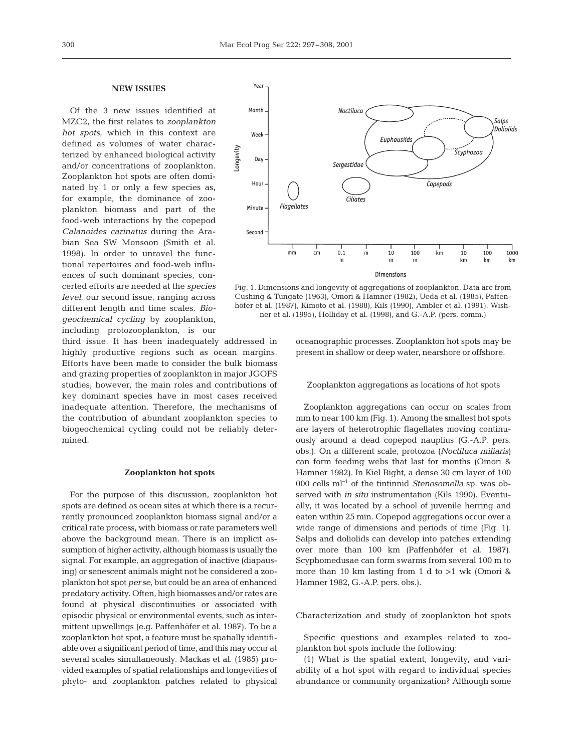# **NEW ISSUES**

Of the 3 new issues identified at MZC2, the first relates to *zooplankton hot spots*, which in this context are defined as volumes of water characterized by enhanced biological activity and/or concentrations of zooplankton. Zooplankton hot spots are often dominated by 1 or only a few species as, for example, the dominance of zooplankton biomass and part of the food-web interactions by the copepod *Calanoides carinatus* during the Arabian Sea SW Monsoon (Smith et al. 1998). In order to unravel the functional repertoires and food-web influences of such dominant species, concerted efforts are needed at the *species level*, our second issue, ranging across different length and time scales. *Biogeochemical cycling* by zooplankton, including protozooplankton, is our

third issue. It has been inadequately addressed in highly productive regions such as ocean margins. Efforts have been made to consider the bulk biomass and grazing properties of zooplankton in major JGOFS studies; however, the main roles and contributions of key dominant species have in most cases received inadequate attention. Therefore, the mechanisms of the contribution of abundant zooplankton species to biogeochemical cycling could not be reliably determined.

# **Zooplankton hot spots**

For the purpose of this discussion, zooplankton hot spots are defined as ocean sites at which there is a recurrently pronounced zooplankton biomass signal and/or a critical rate process, with biomass or rate parameters well above the background mean. There is an implicit assumption of higher activity, although biomass is usually the signal. For example, an aggregation of inactive (diapausing) or senescent animals might not be considered a zooplankton hot spot *per se*, but could be an area of enhanced predatory activity. Often, high biomasses and/or rates are found at physical discontinuities or associated with episodic physical or environmental events, such as intermittent upwellings (e.g. Paffenhöfer et al. 1987). To be a zooplankton hot spot, a feature must be spatially identifiable over a significant period of time, and this may occur at several scales simultaneously. Mackas et al. (1985) provided examples of spatial relationships and longevities of phyto- and zooplankton patches related to physical



Fig. 1. Dimensions and longevity of aggregations of zooplankton. Data are from Cushing & Tungate (1963), Omori & Hamner (1982), Ueda et al. (1985), Paffenhöfer et al. (1987), Kimoto et al. (1988), Kils (1990), Ambler et al. (1991), Wishner et al. (1995), Holliday et al. (1998), and G.-A.P. (pers. comm.)

oceanographic processes. Zooplankton hot spots may be present in shallow or deep water, nearshore or offshore.

# Zooplankton aggregations as locations of hot spots

Zooplankton aggregations can occur on scales from mm to near 100 km (Fig. 1). Among the smallest hot spots are layers of heterotrophic flagellates moving continuously around a dead copepod nauplius (G.-A.P. pers. obs.). On a different scale, protozoa (*Noctiluca miliaris*) can form feeding webs that last for months (Omori & Hamner 1982). In Kiel Bight, a dense 30 cm layer of 100 000 cells ml–<sup>1</sup> of the tintinnid *Stenosomella* sp. was observed with *in situ* instrumentation (Kils 1990). Eventually, it was located by a school of juvenile herring and eaten within 25 min. Copepod aggregations occur over a wide range of dimensions and periods of time (Fig. 1). Salps and doliolids can develop into patches extending over more than 100 km (Paffenhöfer et al. 1987). Scyphomedusae can form swarms from several 100 m to more than 10 km lasting from 1 d to  $>1$  wk (Omori & Hamner 1982, G.-A.P. pers. obs.).

Characterization and study of zooplankton hot spots

Specific questions and examples related to zooplankton hot spots include the following:

(1) What is the spatial extent, longevity, and variability of a hot spot with regard to individual species abundance or community organization? Although some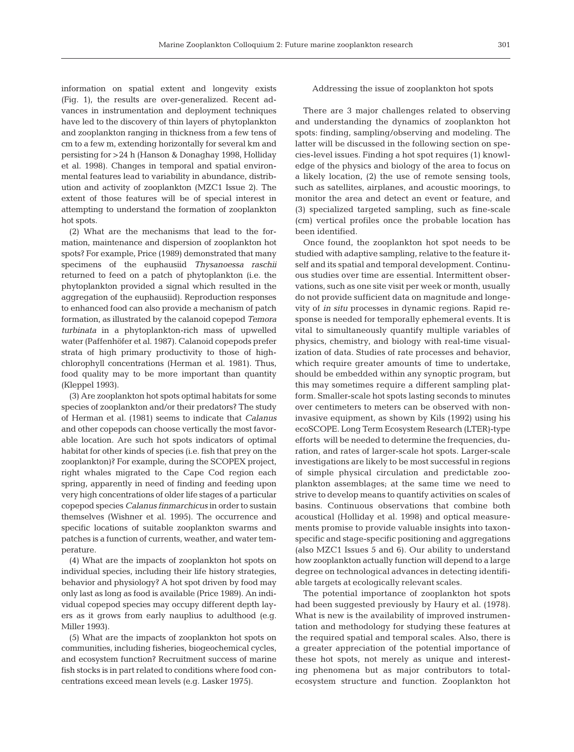information on spatial extent and longevity exists (Fig. 1), the results are over-generalized. Recent advances in instrumentation and deployment techniques have led to the discovery of thin layers of phytoplankton and zooplankton ranging in thickness from a few tens of cm to a few m, extending horizontally for several km and persisting for >24 h (Hanson & Donaghay 1998, Holliday et al. 1998). Changes in temporal and spatial environmental features lead to variability in abundance, distribution and activity of zooplankton (MZC1 Issue 2). The extent of those features will be of special interest in attempting to understand the formation of zooplankton hot spots.

(2) What are the mechanisms that lead to the formation, maintenance and dispersion of zooplankton hot spots? For example, Price (1989) demonstrated that many specimens of the euphausiid *Thysanoessa raschii* returned to feed on a patch of phytoplankton (i.e. the phytoplankton provided a signal which resulted in the aggregation of the euphausiid). Reproduction responses to enhanced food can also provide a mechanism of patch formation, as illustrated by the calanoid copepod *Temora turbinata* in a phytoplankton-rich mass of upwelled water (Paffenhöfer et al. 1987). Calanoid copepods prefer strata of high primary productivity to those of highchlorophyll concentrations (Herman et al. 1981). Thus, food quality may to be more important than quantity (Kleppel 1993).

(3) Are zooplankton hot spots optimal habitats for some species of zooplankton and/or their predators? The study of Herman et al. (1981) seems to indicate that *Calanus* and other copepods can choose vertically the most favorable location. Are such hot spots indicators of optimal habitat for other kinds of species (i.e. fish that prey on the zooplankton)? For example, during the SCOPEX project, right whales migrated to the Cape Cod region each spring, apparently in need of finding and feeding upon very high concentrations of older life stages of a particular copepod species *Calanus finmarchicus* in order to sustain themselves (Wishner et al. 1995). The occurrence and specific locations of suitable zooplankton swarms and patches is a function of currents, weather, and water temperature.

(4) What are the impacts of zooplankton hot spots on individual species, including their life history strategies, behavior and physiology? A hot spot driven by food may only last as long as food is available (Price 1989). An individual copepod species may occupy different depth layers as it grows from early nauplius to adulthood (e.g. Miller 1993).

(5) What are the impacts of zooplankton hot spots on communities, including fisheries, biogeochemical cycles, and ecosystem function? Recruitment success of marine fish stocks is in part related to conditions where food concentrations exceed mean levels (e.g. Lasker 1975).

# Addressing the issue of zooplankton hot spots

There are 3 major challenges related to observing and understanding the dynamics of zooplankton hot spots: finding, sampling/observing and modeling. The latter will be discussed in the following section on species-level issues. Finding a hot spot requires (1) knowledge of the physics and biology of the area to focus on a likely location, (2) the use of remote sensing tools, such as satellites, airplanes, and acoustic moorings, to monitor the area and detect an event or feature, and (3) specialized targeted sampling, such as fine-scale (cm) vertical profiles once the probable location has been identified.

Once found, the zooplankton hot spot needs to be studied with adaptive sampling, relative to the feature itself and its spatial and temporal development. Continuous studies over time are essential. Intermittent observations, such as one site visit per week or month, usually do not provide sufficient data on magnitude and longevity of *in situ* processes in dynamic regions. Rapid response is needed for temporally ephemeral events. It is vital to simultaneously quantify multiple variables of physics, chemistry, and biology with real-time visualization of data. Studies of rate processes and behavior, which require greater amounts of time to undertake, should be embedded within any synoptic program, but this may sometimes require a different sampling platform. Smaller-scale hot spots lasting seconds to minutes over centimeters to meters can be observed with noninvasive equipment, as shown by Kils (1992) using his ecoSCOPE. Long Term Ecosystem Research (LTER)-type efforts will be needed to determine the frequencies, duration, and rates of larger-scale hot spots. Larger-scale investigations are likely to be most successful in regions of simple physical circulation and predictable zooplankton assemblages; at the same time we need to strive to develop means to quantify activities on scales of basins. Continuous observations that combine both acoustical (Holliday et al. 1998) and optical measurements promise to provide valuable insights into taxonspecific and stage-specific positioning and aggregations (also MZC1 Issues 5 and 6). Our ability to understand how zooplankton actually function will depend to a large degree on technological advances in detecting identifiable targets at ecologically relevant scales.

The potential importance of zooplankton hot spots had been suggested previously by Haury et al. (1978). What is new is the availability of improved instrumentation and methodology for studying these features at the required spatial and temporal scales. Also, there is a greater appreciation of the potential importance of these hot spots, not merely as unique and interesting phenomena but as major contributors to totalecosystem structure and function. Zooplankton hot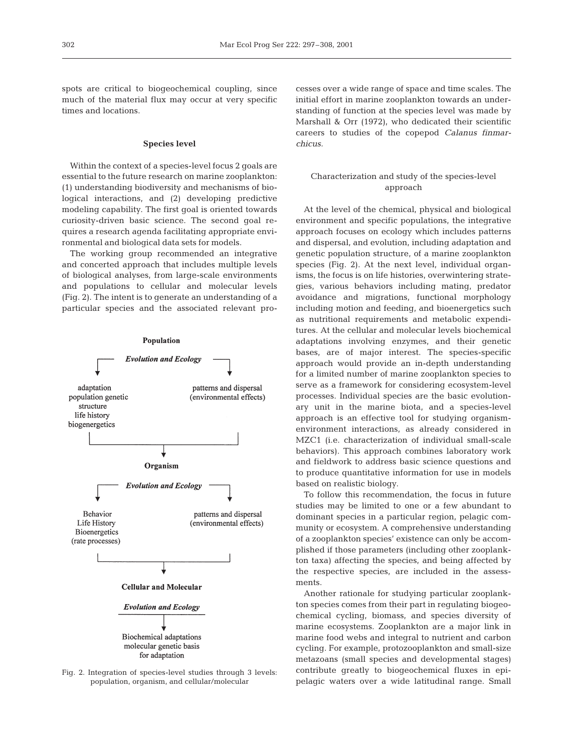spots are critical to biogeochemical coupling, since much of the material flux may occur at very specific times and locations.

# **Species level**

Within the context of a species-level focus 2 goals are essential to the future research on marine zooplankton: (1) understanding biodiversity and mechanisms of biological interactions, and (2) developing predictive modeling capability. The first goal is oriented towards curiosity-driven basic science. The second goal requires a research agenda facilitating appropriate environmental and biological data sets for models.

The working group recommended an integrative and concerted approach that includes multiple levels of biological analyses, from large-scale environments and populations to cellular and molecular levels (Fig. 2). The intent is to generate an understanding of a particular species and the associated relevant pro-



Fig. 2. Integration of species-level studies through 3 levels: population, organism, and cellular/molecular

cesses over a wide range of space and time scales. The initial effort in marine zooplankton towards an understanding of function at the species level was made by Marshall & Orr (1972), who dedicated their scientific careers to studies of the copepod *Calanus finmarchicus.*

# Characterization and study of the species-level approach

At the level of the chemical, physical and biological environment and specific populations, the integrative approach focuses on ecology which includes patterns and dispersal, and evolution, including adaptation and genetic population structure, of a marine zooplankton species (Fig. 2). At the next level, individual organisms, the focus is on life histories, overwintering strategies, various behaviors including mating, predator avoidance and migrations, functional morphology including motion and feeding, and bioenergetics such as nutritional requirements and metabolic expenditures. At the cellular and molecular levels biochemical adaptations involving enzymes, and their genetic bases, are of major interest. The species-specific approach would provide an in-depth understanding for a limited number of marine zooplankton species to serve as a framework for considering ecosystem-level processes. Individual species are the basic evolutionary unit in the marine biota, and a species-level approach is an effective tool for studying organismenvironment interactions, as already considered in MZC1 (i.e. characterization of individual small-scale behaviors). This approach combines laboratory work and fieldwork to address basic science questions and to produce quantitative information for use in models based on realistic biology.

To follow this recommendation, the focus in future studies may be limited to one or a few abundant to dominant species in a particular region, pelagic community or ecosystem. A comprehensive understanding of a zooplankton species' existence can only be accomplished if those parameters (including other zooplankton taxa) affecting the species, and being affected by the respective species, are included in the assessments.

Another rationale for studying particular zooplankton species comes from their part in regulating biogeochemical cycling, biomass, and species diversity of marine ecosystems. Zooplankton are a major link in marine food webs and integral to nutrient and carbon cycling. For example, protozooplankton and small-size metazoans (small species and developmental stages) contribute greatly to biogeochemical fluxes in epipelagic waters over a wide latitudinal range. Small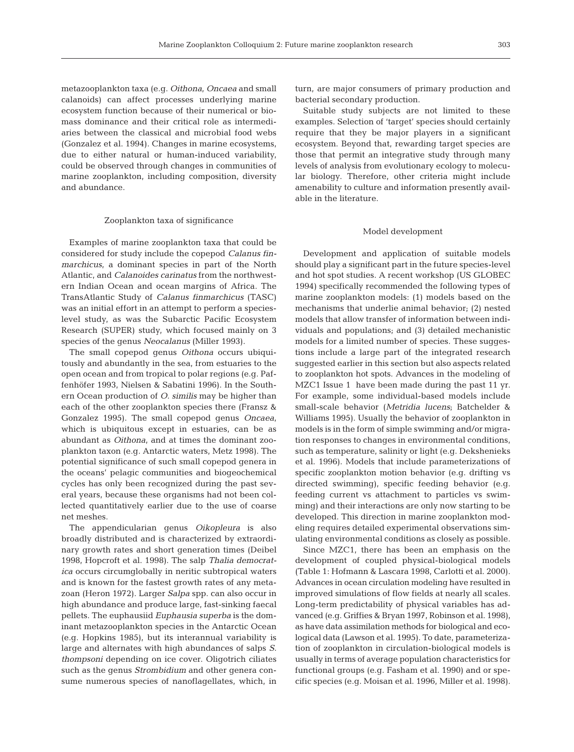metazooplankton taxa (e.g. *Oithona*, *Oncaea* and small calanoids) can affect processes underlying marine ecosystem function because of their numerical or biomass dominance and their critical role as intermediaries between the classical and microbial food webs (Gonzalez et al. 1994). Changes in marine ecosystems, due to either natural or human-induced variability, could be observed through changes in communities of marine zooplankton, including composition, diversity and abundance.

# Zooplankton taxa of significance

Examples of marine zooplankton taxa that could be considered for study include the copepod *Calanus finmarchicus*, a dominant species in part of the North Atlantic, and *Calanoides carinatus* from the northwestern Indian Ocean and ocean margins of Africa. The TransAtlantic Study of *Calanus finmarchicus* (TASC) was an initial effort in an attempt to perform a specieslevel study, as was the Subarctic Pacific Ecosystem Research (SUPER) study, which focused mainly on 3 species of the genus *Neocalanus* (Miller 1993).

The small copepod genus *Oithona* occurs ubiquitously and abundantly in the sea, from estuaries to the open ocean and from tropical to polar regions (e.g. Paffenhöfer 1993, Nielsen & Sabatini 1996). In the Southern Ocean production of *O. similis* may be higher than each of the other zooplankton species there (Fransz & Gonzalez 1995). The small copepod genus *Oncaea*, which is ubiquitous except in estuaries, can be as abundant as *Oithona*, and at times the dominant zooplankton taxon (e.g. Antarctic waters, Metz 1998). The potential significance of such small copepod genera in the oceans' pelagic communities and biogeochemical cycles has only been recognized during the past several years, because these organisms had not been collected quantitatively earlier due to the use of coarse net meshes.

The appendicularian genus *Oikopleura* is also broadly distributed and is characterized by extraordinary growth rates and short generation times (Deibel 1998, Hopcroft et al. 1998). The salp *Thalia democratica* occurs circumglobally in neritic subtropical waters and is known for the fastest growth rates of any metazoan (Heron 1972). Larger *Salpa* spp. can also occur in high abundance and produce large, fast-sinking faecal pellets. The euphausiid *Euphausia superba* is the dominant metazooplankton species in the Antarctic Ocean (e.g. Hopkins 1985), but its interannual variability is large and alternates with high abundances of salps *S. thompsoni* depending on ice cover. Oligotrich ciliates such as the genus *Strombidium* and other genera consume numerous species of nanoflagellates, which, in

turn, are major consumers of primary production and bacterial secondary production.

Suitable study subjects are not limited to these examples. Selection of 'target' species should certainly require that they be major players in a significant ecosystem. Beyond that, rewarding target species are those that permit an integrative study through many levels of analysis from evolutionary ecology to molecular biology. Therefore, other criteria might include amenability to culture and information presently available in the literature.

# Model development

Development and application of suitable models should play a significant part in the future species-level and hot spot studies. A recent workshop (US GLOBEC 1994) specifically recommended the following types of marine zooplankton models: (1) models based on the mechanisms that underlie animal behavior; (2) nested models that allow transfer of information between individuals and populations; and (3) detailed mechanistic models for a limited number of species. These suggestions include a large part of the integrated research suggested earlier in this section but also aspects related to zooplankton hot spots. Advances in the modeling of MZC1 Issue 1 have been made during the past 11 yr. For example, some individual-based models include small-scale behavior (*Metridia lucens*; Batchelder & Williams 1995). Usually the behavior of zooplankton in models is in the form of simple swimming and/or migration responses to changes in environmental conditions, such as temperature, salinity or light (e.g. Dekshenieks et al. 1996). Models that include parameterizations of specific zooplankton motion behavior (e.g. drifting vs directed swimming), specific feeding behavior (e.g. feeding current vs attachment to particles vs swimming) and their interactions are only now starting to be developed. This direction in marine zooplankton modeling requires detailed experimental observations simulating environmental conditions as closely as possible.

Since MZC1, there has been an emphasis on the development of coupled physical-biological models (Table 1: Hofmann & Lascara 1998, Carlotti et al. 2000). Advances in ocean circulation modeling have resulted in improved simulations of flow fields at nearly all scales. Long-term predictability of physical variables has advanced (e.g. Griffies & Bryan 1997, Robinson et al. 1998), as have data assimilation methods for biological and ecological data (Lawson et al. 1995). To date, parameterization of zooplankton in circulation-biological models is usually in terms of average population characteristics for functional groups (e.g. Fasham et al. 1990) and or specific species (e.g. Moisan et al. 1996, Miller et al. 1998).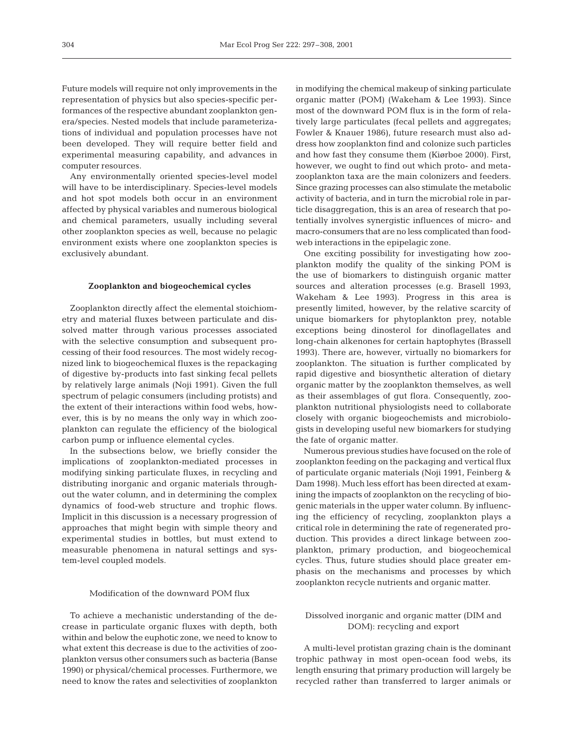Future models will require not only improvements in the representation of physics but also species-specific performances of the respective abundant zooplankton genera/species. Nested models that include parameterizations of individual and population processes have not been developed. They will require better field and experimental measuring capability, and advances in computer resources.

Any environmentally oriented species-level model will have to be interdisciplinary. Species-level models and hot spot models both occur in an environment affected by physical variables and numerous biological and chemical parameters, usually including several other zooplankton species as well, because no pelagic environment exists where one zooplankton species is exclusively abundant.

# **Zooplankton and biogeochemical cycles**

Zooplankton directly affect the elemental stoichiometry and material fluxes between particulate and dissolved matter through various processes associated with the selective consumption and subsequent processing of their food resources. The most widely recognized link to biogeochemical fluxes is the repackaging of digestive by-products into fast sinking fecal pellets by relatively large animals (Noji 1991). Given the full spectrum of pelagic consumers (including protists) and the extent of their interactions within food webs, however, this is by no means the only way in which zooplankton can regulate the efficiency of the biological carbon pump or influence elemental cycles.

In the subsections below, we briefly consider the implications of zooplankton-mediated processes in modifying sinking particulate fluxes, in recycling and distributing inorganic and organic materials throughout the water column, and in determining the complex dynamics of food-web structure and trophic flows. Implicit in this discussion is a necessary progression of approaches that might begin with simple theory and experimental studies in bottles, but must extend to measurable phenomena in natural settings and system-level coupled models.

#### Modification of the downward POM flux

To achieve a mechanistic understanding of the decrease in particulate organic fluxes with depth, both within and below the euphotic zone, we need to know to what extent this decrease is due to the activities of zooplankton versus other consumers such as bacteria (Banse 1990) or physical/chemical processes. Furthermore, we need to know the rates and selectivities of zooplankton

in modifying the chemical makeup of sinking particulate organic matter (POM) (Wakeham & Lee 1993). Since most of the downward POM flux is in the form of relatively large particulates (fecal pellets and aggregates; Fowler & Knauer 1986), future research must also address how zooplankton find and colonize such particles and how fast they consume them (Kiørboe 2000). First, however, we ought to find out which proto- and metazooplankton taxa are the main colonizers and feeders. Since grazing processes can also stimulate the metabolic activity of bacteria, and in turn the microbial role in particle disaggregation, this is an area of research that potentially involves synergistic influences of micro- and macro-consumers that are no less complicated than foodweb interactions in the epipelagic zone.

One exciting possibility for investigating how zooplankton modify the quality of the sinking POM is the use of biomarkers to distinguish organic matter sources and alteration processes (e.g. Brasell 1993, Wakeham & Lee 1993). Progress in this area is presently limited, however, by the relative scarcity of unique biomarkers for phytoplankton prey, notable exceptions being dinosterol for dinoflagellates and long-chain alkenones for certain haptophytes (Brassell 1993). There are, however, virtually no biomarkers for zooplankton. The situation is further complicated by rapid digestive and biosynthetic alteration of dietary organic matter by the zooplankton themselves, as well as their assemblages of gut flora. Consequently, zooplankton nutritional physiologists need to collaborate closely with organic biogeochemists and microbiologists in developing useful new biomarkers for studying the fate of organic matter.

Numerous previous studies have focused on the role of zooplankton feeding on the packaging and vertical flux of particulate organic materials (Noji 1991, Feinberg & Dam 1998). Much less effort has been directed at examining the impacts of zooplankton on the recycling of biogenic materials in the upper water column. By influencing the efficiency of recycling, zooplankton plays a critical role in determining the rate of regenerated production. This provides a direct linkage between zooplankton, primary production, and biogeochemical cycles. Thus, future studies should place greater emphasis on the mechanisms and processes by which zooplankton recycle nutrients and organic matter.

# Dissolved inorganic and organic matter (DIM and DOM): recycling and export

A multi-level protistan grazing chain is the dominant trophic pathway in most open-ocean food webs, its length ensuring that primary production will largely be recycled rather than transferred to larger animals or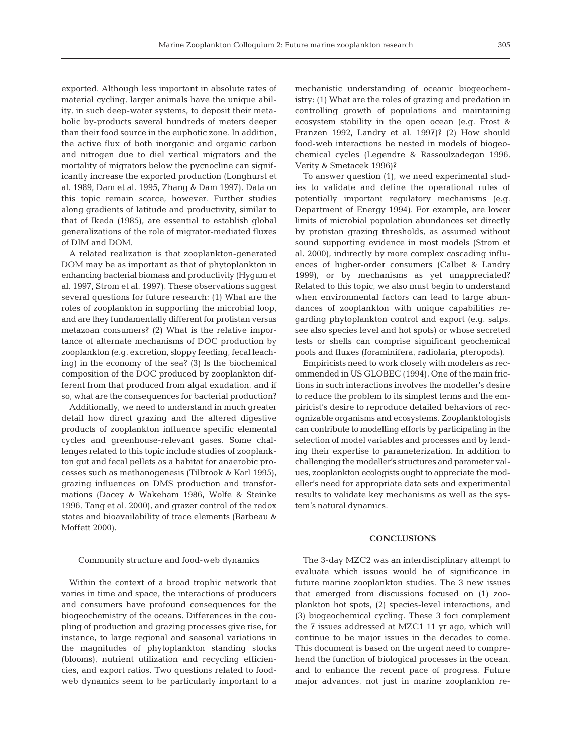exported. Although less important in absolute rates of material cycling, larger animals have the unique ability, in such deep-water systems, to deposit their metabolic by-products several hundreds of meters deeper than their food source in the euphotic zone. In addition, the active flux of both inorganic and organic carbon and nitrogen due to diel vertical migrators and the mortality of migrators below the pycnocline can significantly increase the exported production (Longhurst et al. 1989, Dam et al. 1995, Zhang & Dam 1997). Data on this topic remain scarce, however. Further studies along gradients of latitude and productivity, similar to that of Ikeda (1985), are essential to establish global generalizations of the role of migrator-mediated fluxes of DIM and DOM.

A related realization is that zooplankton-generated DOM may be as important as that of phytoplankton in enhancing bacterial biomass and productivity (Hygum et al. 1997, Strom et al. 1997). These observations suggest several questions for future research: (1) What are the roles of zooplankton in supporting the microbial loop, and are they fundamentally different for protistan versus metazoan consumers? (2) What is the relative importance of alternate mechanisms of DOC production by zooplankton (e.g. excretion, sloppy feeding, fecal leaching) in the economy of the sea? (3) Is the biochemical composition of the DOC produced by zooplankton different from that produced from algal exudation, and if so, what are the consequences for bacterial production?

Additionally, we need to understand in much greater detail how direct grazing and the altered digestive products of zooplankton influence specific elemental cycles and greenhouse-relevant gases. Some challenges related to this topic include studies of zooplankton gut and fecal pellets as a habitat for anaerobic processes such as methanogenesis (Tilbrook & Karl 1995), grazing influences on DMS production and transformations (Dacey & Wakeham 1986, Wolfe & Steinke 1996, Tang et al. 2000), and grazer control of the redox states and bioavailability of trace elements (Barbeau & Moffett 2000).

Community structure and food-web dynamics

Within the context of a broad trophic network that varies in time and space, the interactions of producers and consumers have profound consequences for the biogeochemistry of the oceans. Differences in the coupling of production and grazing processes give rise, for instance, to large regional and seasonal variations in the magnitudes of phytoplankton standing stocks (blooms), nutrient utilization and recycling efficiencies, and export ratios. Two questions related to foodweb dynamics seem to be particularly important to a

mechanistic understanding of oceanic biogeochemistry: (1) What are the roles of grazing and predation in controlling growth of populations and maintaining ecosystem stability in the open ocean (e.g. Frost & Franzen 1992, Landry et al. 1997)? (2) How should food-web interactions be nested in models of biogeochemical cycles (Legendre & Rassoulzadegan 1996, Verity & Smetacek 1996)?

To answer question (1), we need experimental studies to validate and define the operational rules of potentially important regulatory mechanisms (e.g. Department of Energy 1994). For example, are lower limits of microbial population abundances set directly by protistan grazing thresholds, as assumed without sound supporting evidence in most models (Strom et al. 2000), indirectly by more complex cascading influences of higher-order consumers (Calbet & Landry 1999), or by mechanisms as yet unappreciated? Related to this topic, we also must begin to understand when environmental factors can lead to large abundances of zooplankton with unique capabilities regarding phytoplankton control and export (e.g. salps, see also species level and hot spots) or whose secreted tests or shells can comprise significant geochemical pools and fluxes (foraminifera, radiolaria, pteropods).

Empiricists need to work closely with modelers as recommended in US GLOBEC (1994). One of the main frictions in such interactions involves the modeller's desire to reduce the problem to its simplest terms and the empiricist's desire to reproduce detailed behaviors of recognizable organisms and ecosystems. Zooplanktologists can contribute to modelling efforts by participating in the selection of model variables and processes and by lending their expertise to parameterization. In addition to challenging the modeller's structures and parameter values, zooplankton ecologists ought to appreciate the modeller's need for appropriate data sets and experimental results to validate key mechanisms as well as the system's natural dynamics.

### **CONCLUSIONS**

The 3-day MZC2 was an interdisciplinary attempt to evaluate which issues would be of significance in future marine zooplankton studies. The 3 new issues that emerged from discussions focused on (1) zooplankton hot spots, (2) species-level interactions, and (3) biogeochemical cycling. These 3 foci complement the 7 issues addressed at MZC1 11 yr ago, which will continue to be major issues in the decades to come. This document is based on the urgent need to comprehend the function of biological processes in the ocean, and to enhance the recent pace of progress. Future major advances, not just in marine zooplankton re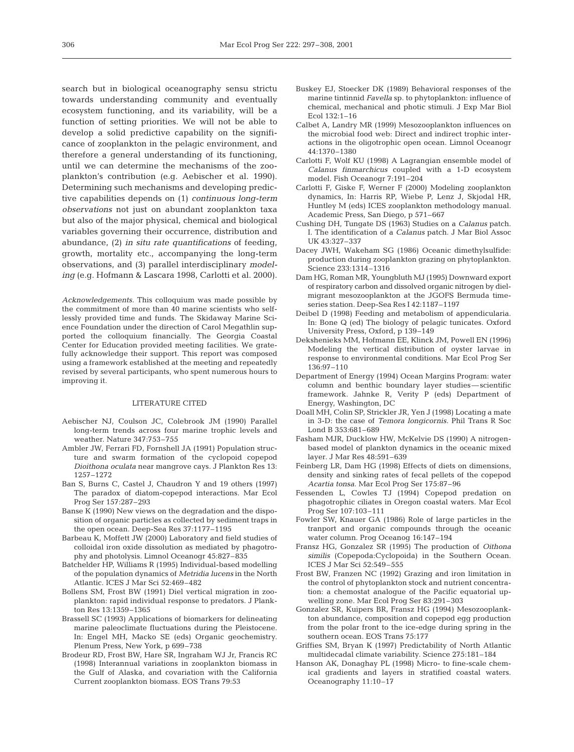search but in biological oceanography sensu strictu towards understanding community and eventually ecosystem functioning, and its variability, will be a function of setting priorities. We will not be able to develop a solid predictive capability on the significance of zooplankton in the pelagic environment, and therefore a general understanding of its functioning, until we can determine the mechanisms of the zooplankton's contribution (e.g. Aebischer et al. 1990). Determining such mechanisms and developing predictive capabilities depends on (1) *continuous long-term observations* not just on abundant zooplankton taxa but also of the major physical, chemical and biological variables governing their occurrence, distribution and abundance, (2) *in situ rate quantifications* of feeding, growth, mortality etc., accompanying the long-term observations, and (3) parallel interdisciplinary *modeling* (e.g. Hofmann & Lascara 1998, Carlotti et al. 2000).

*Acknowledgements.* This colloquium was made possible by the commitment of more than 40 marine scientists who selflessly provided time and funds. The Skidaway Marine Science Foundation under the direction of Carol Megathlin supported the colloquium financially. The Georgia Coastal Center for Education provided meeting facilities. We gratefully acknowledge their support. This report was composed using a framework established at the meeting and repeatedly revised by several participants, who spent numerous hours to improving it.

### LITERATURE CITED

- Aebischer NJ, Coulson JC, Colebrook JM (1990) Parallel long-term trends across four marine trophic levels and weather. Nature 347:753–755
- Ambler JW, Ferrari FD, Fornshell JA (1991) Population structure and swarm formation of the cyclopoid copepod *Dioithona oculata* near mangrove cays. J Plankton Res 13: 1257–1272
- Ban S, Burns C, Castel J, Chaudron Y and 19 others (1997) The paradox of diatom-copepod interactions. Mar Ecol Prog Ser 157:287–293
- Banse K (1990) New views on the degradation and the disposition of organic particles as collected by sediment traps in the open ocean. Deep-Sea Res 37:1177–1195
- Barbeau K, Moffett JW (2000) Laboratory and field studies of colloidal iron oxide dissolution as mediated by phagotrophy and photolysis. Limnol Oceanogr 45:827–835
- Batchelder HP, Williams R (1995) Individual-based modelling of the population dynamics of *Metridia lucens* in the North Atlantic. ICES J Mar Sci 52:469–482
- Bollens SM, Frost BW (1991) Diel vertical migration in zooplankton: rapid individual response to predators. J Plankton Res 13:1359–1365
- Brassell SC (1993) Applications of biomarkers for delineating marine paleoclimate fluctuations during the Pleistocene. In: Engel MH, Macko SE (eds) Organic geochemistry. Plenum Press, New York, p 699–738
- Brodeur RD, Frost BW, Hare SR, Ingraham WJ Jr, Francis RC (1998) Interannual variations in zooplankton biomass in the Gulf of Alaska, and covariation with the California Current zooplankton biomass. EOS Trans 79:53
- Buskey EJ, Stoecker DK (1989) Behavioral responses of the marine tintinnid *Favella* sp. to phytoplankton: influence of chemical, mechanical and photic stimuli. J Exp Mar Biol Ecol 132:1–16
- Calbet A, Landry MR (1999) Mesozooplankton influences on the microbial food web: Direct and indirect trophic interactions in the oligotrophic open ocean. Limnol Oceanogr 44:1370–1380
- Carlotti F, Wolf KU (1998) A Lagrangian ensemble model of *Calanus finmarchicus* coupled with a 1-D ecosystem model. Fish Oceanogr 7:191–204
- Carlotti F, Giske F, Werner F (2000) Modeling zooplankton dynamics, In: Harris RP, Wiebe P, Lenz J, Skjodal HR, Huntley M (eds) ICES zooplankton methodology manual. Academic Press, San Diego, p 571–667
- Cushing DH, Tungate DS (1963) Studies on a *Calanus* patch. I. The identification of a *Calanus* patch. J Mar Biol Assoc UK 43:327–337
- Dacey JWH, Wakeham SG (1986) Oceanic dimethylsulfide: production during zooplankton grazing on phytoplankton. Science 233:1314–1316
- Dam HG, Roman MR, Youngbluth MJ (1995) Downward export of respiratory carbon and dissolved organic nitrogen by dielmigrant mesozooplankton at the JGOFS Bermuda timeseries station. Deep-Sea Res I 42:1187–1197
- Deibel D (1998) Feeding and metabolism of appendicularia. In: Bone Q (ed) The biology of pelagic tunicates. Oxford University Press, Oxford, p 139–149
- Dekshenieks MM, Hofmann EE, Klinck JM, Powell EN (1996) Modeling the vertical distribution of oyster larvae in response to environmental conditions. Mar Ecol Prog Ser 136:97–110
- Department of Energy (1994) Ocean Margins Program: water column and benthic boundary layer studies—scientific framework. Jahnke R, Verity P (eds) Department of Energy, Washington, DC
- Doall MH, Colin SP, Strickler JR, Yen J (1998) Locating a mate in 3-D: the case of *Temora longicornis.* Phil Trans R Soc Lond B 353:681–689
- Fasham MJR, Ducklow HW, McKelvie DS (1990) A nitrogenbased model of plankton dynamics in the oceanic mixed layer. J Mar Res 48:591–639
- Feinberg LR, Dam HG (1998) Effects of diets on dimensions, density and sinking rates of fecal pellets of the copepod *Acartia tonsa*. Mar Ecol Prog Ser 175:87–96
- Fessenden L, Cowles TJ (1994) Copepod predation on phagotrophic ciliates in Oregon coastal waters. Mar Ecol Prog Ser 107:103–111
- Fowler SW, Knauer GA (1986) Role of large particles in the tranport and organic compounds through the oceanic water column. Prog Oceanog 16:147–194
- Fransz HG, Gonzalez SR (1995) The production of *Oithona similis* (Copepoda:Cyclopoida) in the Southern Ocean. ICES J Mar Sci 52:549–555
- Frost BW, Franzen NC (1992) Grazing and iron limitation in the control of phytoplankton stock and nutrient concentration: a chemostat analogue of the Pacific equatorial upwelling zone. Mar Ecol Prog Ser 83:291–303
- Gonzalez SR, Kuipers BR, Fransz HG (1994) Mesozooplankton abundance, composition and copepod egg production from the polar front to the ice-edge during spring in the southern ocean. EOS Trans 75:177
- Griffies SM, Bryan K (1997) Predictability of North Atlantic multidecadal climate variability. Science 275:181–184
- Hanson AK, Donaghay PL (1998) Micro- to fine-scale chemical gradients and layers in stratified coastal waters. Oceanography 11:10–17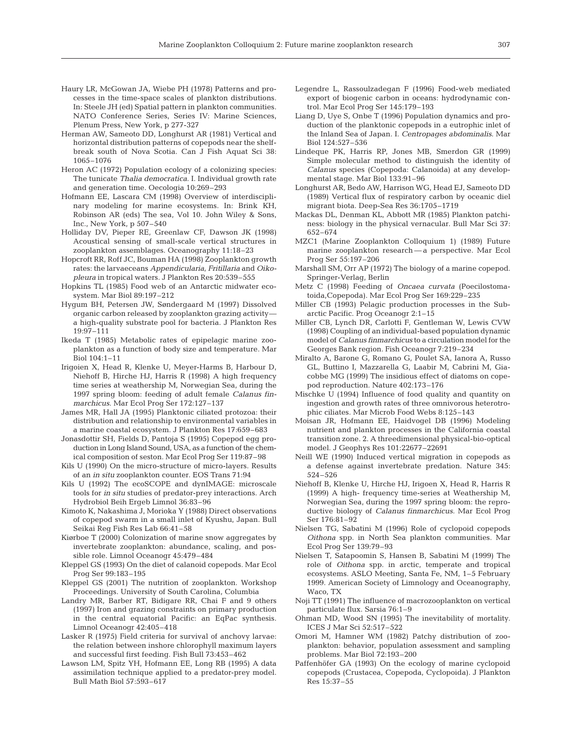- Haury LR, McGowan JA, Wiebe PH (1978) Patterns and processes in the time-space scales of plankton distributions. In: Steele JH (ed) Spatial pattern in plankton communities. NATO Conference Series, Series IV: Marine Sciences, Plenum Press, New York, p 277-327
- Herman AW, Sameoto DD, Longhurst AR (1981) Vertical and horizontal distribution patterns of copepods near the shelfbreak south of Nova Scotia. Can J Fish Aquat Sci 38: 1065–1076
- Heron AC (1972) Population ecology of a colonizing species: The tunicate *Thalia democratica*. I. Individual growth rate and generation time. Oecologia 10:269–293
- Hofmann EE, Lascara CM (1998) Overview of interdisciplinary modeling for marine ecosystems. In: Brink KH, Robinson AR (eds) The sea, Vol 10. John Wiley & Sons, Inc., New York, p 507–540
- Holliday DV, Pieper RE, Greenlaw CF, Dawson JK (1998) Acoustical sensing of small-scale vertical structures in zooplankton assemblages. Oceanography 11:18–23
- Hopcroft RR, Roff JC, Bouman HA (1998) Zooplankton growth rates: the larvaeceans *Appendicularia*, *Fritillaria* and *Oikopleura* in tropical waters. J Plankton Res 20:539–555
- Hopkins TL (1985) Food web of an Antarctic midwater ecosystem. Mar Biol 89:197–212
- Hygum BH, Petersen JW, Søndergaard M (1997) Dissolved organic carbon released by zooplankton grazing activity a high-quality substrate pool for bacteria. J Plankton Res 19:97–111
- Ikeda T (1985) Metabolic rates of epipelagic marine zooplankton as a function of body size and temperature. Mar Biol 104:1–11
- Irigoien X, Head R, Klenke U, Meyer-Harms B, Harbour D, Niehoff B, Hirche HJ, Harris R (1998) A high frequency time series at weathership M, Norwegian Sea, during the 1997 spring bloom: feeding of adult female *Calanus finmarchicus*. Mar Ecol Prog Ser 172:127–137
- James MR, Hall JA (1995) Planktonic ciliated protozoa: their distribution and relationship to environmental variables in a marine coastal ecosystem. J Plankton Res 17:659–683
- Jonasdottir SH, Fields D, Pantoja S (1995) Copepod egg production in Long Island Sound, USA, as a function of the chemical composition of seston. Mar Ecol Prog Ser 119:87–98
- Kils U (1990) On the micro-structure of micro-layers. Results of an *in situ* zooplankton counter. EOS Trans 71:94
- Kils U (1992) The ecoSCOPE and dynIMAGE: microscale tools for *in situ* studies of predator-prey interactions. Arch Hydrobiol Beih Ergeb Limnol 36:83–96
- Kimoto K, Nakashima J, Morioka Y (1988) Direct observations of copepod swarm in a small inlet of Kyushu, Japan. Bull Seikai Reg Fish Res Lab 66:41–58
- Kiørboe T (2000) Colonization of marine snow aggregates by invertebrate zooplankton: abundance, scaling, and possible role. Limnol Oceanogr 45:479–484
- Kleppel GS (1993) On the diet of calanoid copepods. Mar Ecol Prog Ser 99:183–195
- Kleppel GS (2001) The nutrition of zooplankton. Workshop Proceedings. University of South Carolina, Columbia
- Landry MR, Barber RT, Bidigare RR, Chai F and 9 others (1997) Iron and grazing constraints on primary production in the central equatorial Pacific: an EqPac synthesis. Limnol Oceanogr 42:405–418
- Lasker R (1975) Field criteria for survival of anchovy larvae: the relation between inshore chlorophyll maximum layers and successful first feeding. Fish Bull 73:453–462
- Lawson LM, Spitz YH, Hofmann EE, Long RB (1995) A data assimilation technique applied to a predator-prey model. Bull Math Biol 57:593–617
- Legendre L, Rassoulzadegan F (1996) Food-web mediated export of biogenic carbon in oceans: hydrodynamic control. Mar Ecol Prog Ser 145:179–193
- Liang D, Uye S, Onbe T (1996) Population dynamics and production of the planktonic copepods in a eutrophic inlet of the Inland Sea of Japan. I. *Centropages abdominalis*. Mar Biol 124:527–536
- Lindeque PK, Harris RP, Jones MB, Smerdon GR (1999) Simple molecular method to distinguish the identity of *Calanus* species (Copepoda: Calanoida) at any developmental stage. Mar Biol 133:91–96
- Longhurst AR, Bedo AW, Harrison WG, Head EJ, Sameoto DD (1989) Vertical flux of respiratory carbon by oceanic diel migrant biota. Deep-Sea Res 36:1705–1719
- Mackas DL, Denman KL, Abbott MR (1985) Plankton patchiness: biology in the physical vernacular. Bull Mar Sci 37: 652–674
- MZC1 (Marine Zooplankton Colloquium 1) (1989) Future marine zooplankton research — a perspective. Mar Ecol Prog Ser 55:197–206
- Marshall SM, Orr AP (1972) The biology of a marine copepod. Springer-Verlag, Berlin
- Metz C (1998) Feeding of *Oncaea curvata* (Poecilostomatoida,Copepoda). Mar Ecol Prog Ser 169:229–235
- Miller CB (1993) Pelagic production processes in the Subarctic Pacific. Prog Oceanogr 2:1–15
- Miller CB, Lynch DR, Carlotti F, Gentleman W, Lewis CVW (1998) Coupling of an individual-based population dynamic model of *Calanus finmarchicus* to a circulation model for the Georges Bank region. Fish Oceanogr 7:219–234
- Miralto A, Barone G, Romano G, Poulet SA, Ianora A, Russo GL, Buttino I, Mazzarella G, Laabir M, Cabrini M, Giacobbe MG (1999) The insidious effect of diatoms on copepod reproduction. Nature 402:173–176
- Mischke U (1994) Influence of food quality and quantity on ingestion and growth rates of three omnivorous heterotrophic ciliates. Mar Microb Food Webs 8:125–143
- Moisan JR, Hofmann EE, Haidvogel DB (1996) Modeling nutrient and plankton processes in the California coastal transition zone. 2. A threedimensional physical-bio-optical model. J Geophys Res 101:22677–22691
- Neill WE (1990) Induced vertical migration in copepods as a defense against invertebrate predation. Nature 345: 524–526
- Niehoff B, Klenke U, Hirche HJ, Irigoen X, Head R, Harris R (1999) A high- frequency time-series at Weathership M, Norwegian Sea, during the 1997 spring bloom: the reproductive biology of *Calanus finmarchicus*. Mar Ecol Prog Ser 176:81–92
- Nielsen TG, Sabatini M (1996) Role of cyclopoid copepods *Oithona* spp. in North Sea plankton communities. Mar Ecol Prog Ser 139:79–93
- Nielsen T, Satapoomin S, Hansen B, Sabatini M (1999) The role of *Oithona* spp. in arctic, temperate and tropical ecosystems. ASLO Meeting, Santa Fe, NM, 1–5 February 1999. American Society of Limnology and Oceanography, Waco, TX
- Noji TT (1991) The influence of macrozooplankton on vertical particulate flux. Sarsia 76:1–9
- Ohman MD, Wood SN (1995) The inevitability of mortality. ICES J Mar Sci 52:517–522
- Omori M, Hamner WM (1982) Patchy distribution of zooplankton: behavior, population assessment and sampling problems. Mar Biol 72:193–200
- Paffenhöfer GA (1993) On the ecology of marine cyclopoid copepods (Crustacea, Copepoda, Cyclopoida). J Plankton Res 15:37–55